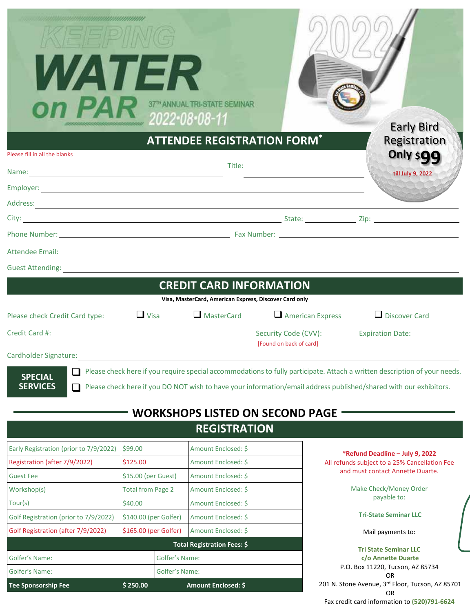| VATI ER<br>Please fill in all the blanks<br>Name:                                                                                                                                                                             |                                            |  | 37TH ANNUAL TRI-STATE SEMINAR<br>2022-08-08-11<br><b>ATTENDEE REGISTRATION FORM*</b><br>Title:<br><u> 1989 - Johann Stoff, Amerikaansk politiker († 1908)</u> |                                                                                                                                                                                                                                                | <b>Early Bird</b><br>Registration<br>Only \$99<br>till July 9, 2022                                                  |  |
|-------------------------------------------------------------------------------------------------------------------------------------------------------------------------------------------------------------------------------|--------------------------------------------|--|---------------------------------------------------------------------------------------------------------------------------------------------------------------|------------------------------------------------------------------------------------------------------------------------------------------------------------------------------------------------------------------------------------------------|----------------------------------------------------------------------------------------------------------------------|--|
|                                                                                                                                                                                                                               |                                            |  |                                                                                                                                                               |                                                                                                                                                                                                                                                |                                                                                                                      |  |
|                                                                                                                                                                                                                               |                                            |  |                                                                                                                                                               |                                                                                                                                                                                                                                                |                                                                                                                      |  |
|                                                                                                                                                                                                                               |                                            |  |                                                                                                                                                               |                                                                                                                                                                                                                                                |                                                                                                                      |  |
|                                                                                                                                                                                                                               |                                            |  |                                                                                                                                                               |                                                                                                                                                                                                                                                |                                                                                                                      |  |
| Guest Attending: The Contract of the Contract of the Contract of the Contract of the Contract of the Contract of the Contract of the Contract of the Contract of the Contract of the Contract of the Contract of the Contract |                                            |  |                                                                                                                                                               |                                                                                                                                                                                                                                                |                                                                                                                      |  |
|                                                                                                                                                                                                                               |                                            |  | <b>CREDIT CARD INFORMATION</b>                                                                                                                                |                                                                                                                                                                                                                                                |                                                                                                                      |  |
|                                                                                                                                                                                                                               |                                            |  | Visa, MasterCard, American Express, Discover Card only                                                                                                        |                                                                                                                                                                                                                                                |                                                                                                                      |  |
| Please check Credit Card type:                                                                                                                                                                                                | $\Box$ Visa                                |  | MasterCard                                                                                                                                                    | $\Box$ American Express                                                                                                                                                                                                                        | Discover Card                                                                                                        |  |
| Credit Card #:                                                                                                                                                                                                                |                                            |  |                                                                                                                                                               | Security Code (CVV): Expiration Date:                                                                                                                                                                                                          |                                                                                                                      |  |
|                                                                                                                                                                                                                               |                                            |  |                                                                                                                                                               | [Found on back of card]                                                                                                                                                                                                                        |                                                                                                                      |  |
| Cardholder Signature:                                                                                                                                                                                                         |                                            |  |                                                                                                                                                               |                                                                                                                                                                                                                                                |                                                                                                                      |  |
| <b>SPECIAL</b><br><b>SERVICES</b>                                                                                                                                                                                             |                                            |  | <b>WORKSHOPS LISTED ON SECOND PAGE</b>                                                                                                                        | Please check here if you require special accommodations to fully participate. Attach a written description of your needs.<br>Please check here if you DO NOT wish to have your information/email address published/shared with our exhibitors. |                                                                                                                      |  |
|                                                                                                                                                                                                                               |                                            |  | <b>REGISTRATION</b>                                                                                                                                           |                                                                                                                                                                                                                                                |                                                                                                                      |  |
|                                                                                                                                                                                                                               |                                            |  | Amount Enclosed: \$                                                                                                                                           |                                                                                                                                                                                                                                                |                                                                                                                      |  |
| Early Registration (prior to 7/9/2022)<br>Registration (after 7/9/2022)                                                                                                                                                       | \$99.00<br>\$125.00<br>\$15.00 (per Guest) |  | Amount Enclosed: \$                                                                                                                                           |                                                                                                                                                                                                                                                | *Refund Deadline - July 9, 2022<br>All refunds subject to a 25% Cancellation Fee<br>and must contact Annette Duarte. |  |
| <b>Guest Fee</b>                                                                                                                                                                                                              |                                            |  | Amount Enclosed: \$                                                                                                                                           |                                                                                                                                                                                                                                                |                                                                                                                      |  |
| Workshop(s)                                                                                                                                                                                                                   | <b>Total from Page 2</b>                   |  | Amount Enclosed: \$                                                                                                                                           |                                                                                                                                                                                                                                                | Make Check/Money Order                                                                                               |  |
| Tour(s)                                                                                                                                                                                                                       | \$40.00                                    |  | Amount Enclosed: \$                                                                                                                                           |                                                                                                                                                                                                                                                | payable to:                                                                                                          |  |
| \$140.00 (per Golfer)<br>Golf Registration (prior to 7/9/2022)                                                                                                                                                                |                                            |  | Amount Enclosed: \$                                                                                                                                           |                                                                                                                                                                                                                                                | <b>Tri-State Seminar LLC</b>                                                                                         |  |
| Golf Registration (after 7/9/2022)<br>\$165.00 (per Golfer)                                                                                                                                                                   |                                            |  | Amount Enclosed: \$                                                                                                                                           |                                                                                                                                                                                                                                                | Mail payments to:                                                                                                    |  |
|                                                                                                                                                                                                                               |                                            |  | Total Registration Fees: \$                                                                                                                                   |                                                                                                                                                                                                                                                | <b>Tri State Seminar LLC</b>                                                                                         |  |
| Golfer's Name:<br>Golfer's Name:                                                                                                                                                                                              |                                            |  |                                                                                                                                                               |                                                                                                                                                                                                                                                | c/o Annette Duarte                                                                                                   |  |
| Golfer's Name:<br>Golfer's Name:                                                                                                                                                                                              |                                            |  |                                                                                                                                                               |                                                                                                                                                                                                                                                | P.O. Box 11220, Tucson, AZ 85734<br>OR                                                                               |  |
| <b>Tee Sponsorship Fee</b>                                                                                                                                                                                                    | \$250.00<br>Amount Enclosed: \$            |  |                                                                                                                                                               | 201 N. Stone Avenue, 3rd Floor, Tucson, AZ 85701                                                                                                                                                                                               |                                                                                                                      |  |

| c/o Annette Duarte                               |
|--------------------------------------------------|
| P.O. Box 11220, Tucson, AZ 85734                 |
| OR                                               |
| 201 N. Stone Avenue, 3rd Floor, Tucson, AZ 85701 |
| ΩR                                               |

Fax credit card information to **(520)791-6624**